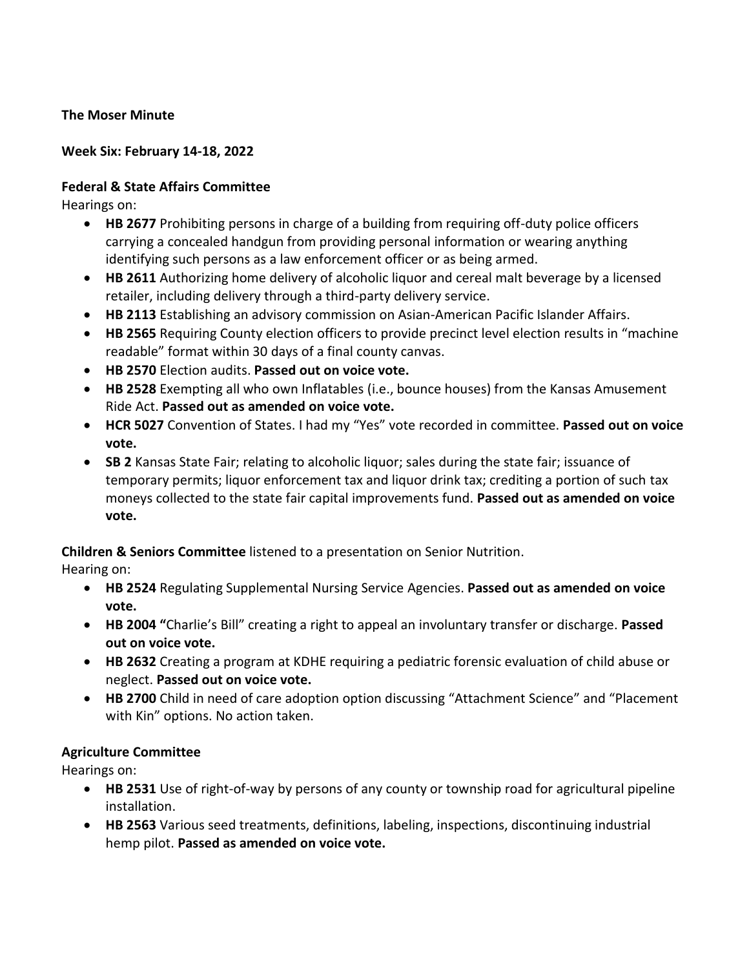## **The Moser Minute**

## **Week Six: February 14-18, 2022**

## **Federal & State Affairs Committee**

Hearings on:

- **HB 2677** Prohibiting persons in charge of a building from requiring off-duty police officers carrying a concealed handgun from providing personal information or wearing anything identifying such persons as a law enforcement officer or as being armed.
- **HB 2611** Authorizing home delivery of alcoholic liquor and cereal malt beverage by a licensed retailer, including delivery through a third-party delivery service.
- **HB 2113** Establishing an advisory commission on Asian-American Pacific Islander Affairs.
- **HB 2565** Requiring County election officers to provide precinct level election results in "machine readable" format within 30 days of a final county canvas.
- **HB 2570** Election audits. **Passed out on voice vote.**
- **HB 2528** Exempting all who own Inflatables (i.e., bounce houses) from the Kansas Amusement Ride Act. **Passed out as amended on voice vote.**
- **HCR 5027** Convention of States. I had my "Yes" vote recorded in committee. **Passed out on voice vote.**
- **SB 2** Kansas State Fair; relating to alcoholic liquor; sales during the state fair; issuance of temporary permits; liquor enforcement tax and liquor drink tax; crediting a portion of such tax moneys collected to the state fair capital improvements fund. **Passed out as amended on voice vote.**

# **Children & Seniors Committee** listened to a presentation on Senior Nutrition.

Hearing on:

- **HB 2524** Regulating Supplemental Nursing Service Agencies. **Passed out as amended on voice vote.**
- **HB 2004 "**Charlie's Bill" creating a right to appeal an involuntary transfer or discharge. **Passed out on voice vote.**
- **HB 2632** Creating a program at KDHE requiring a pediatric forensic evaluation of child abuse or neglect. **Passed out on voice vote.**
- **HB 2700** Child in need of care adoption option discussing "Attachment Science" and "Placement with Kin" options. No action taken.

# **Agriculture Committee**

Hearings on:

- **HB 2531** Use of right-of-way by persons of any county or township road for agricultural pipeline installation.
- **HB 2563** Various seed treatments, definitions, labeling, inspections, discontinuing industrial hemp pilot. **Passed as amended on voice vote.**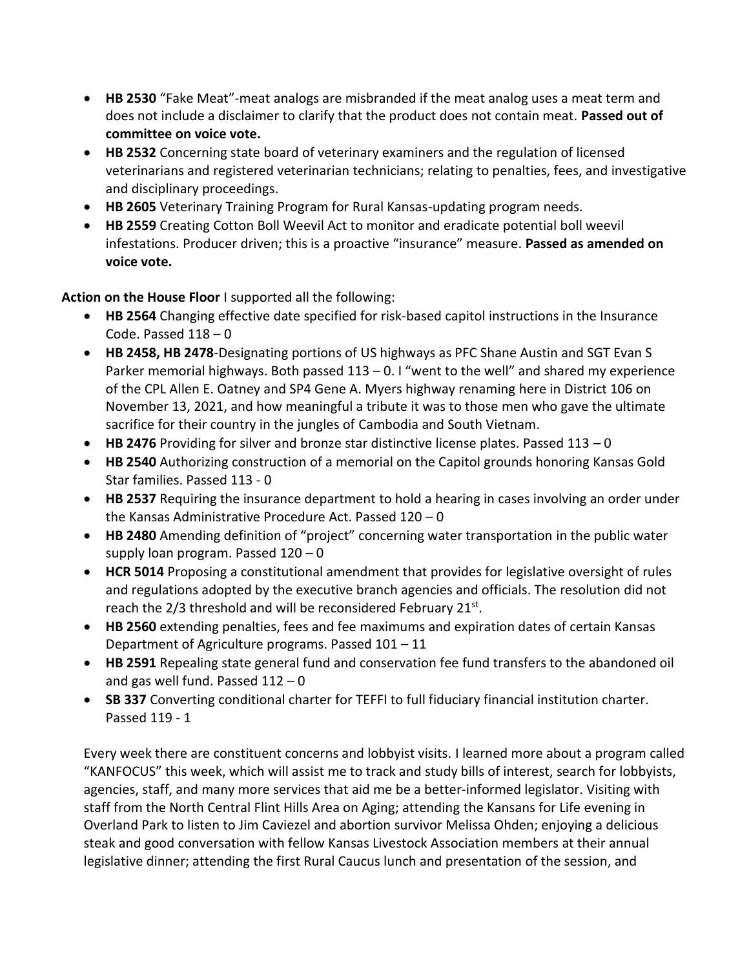- **HB 2530** "Fake Meat"-meat analogs are misbranded if the meat analog uses a meat term and does not include a disclaimer to clarify that the product does not contain meat. **Passed out of committee on voice vote.**
- **HB 2532** Concerning state board of veterinary examiners and the regulation of licensed veterinarians and registered veterinarian technicians; relating to penalties, fees, and investigative and disciplinary proceedings.
- **HB 2605** Veterinary Training Program for Rural Kansas-updating program needs.
- **HB 2559** Creating Cotton Boll Weevil Act to monitor and eradicate potential boll weevil infestations. Producer driven; this is a proactive "insurance" measure. **Passed as amended on voice vote.**

**Action on the House Floor** I supported all the following:

- **HB 2564** Changing effective date specified for risk-based capitol instructions in the Insurance Code. Passed  $118 - 0$
- **HB 2458, HB 2478**-Designating portions of US highways as PFC Shane Austin and SGT Evan S Parker memorial highways. Both passed  $113 - 0.1$  "went to the well" and shared my experience of the CPL Allen E. Oatney and SP4 Gene A. Myers highway renaming here in District 106 on November 13, 2021, and how meaningful a tribute it was to those men who gave the ultimate sacrifice for their country in the jungles of Cambodia and South Vietnam.
- **HB 2476** Providing for silver and bronze star distinctive license plates. Passed 113 0
- **HB 2540** Authorizing construction of a memorial on the Capitol grounds honoring Kansas Gold Star families. Passed 113 - 0
- **HB 2537** Requiring the insurance department to hold a hearing in cases involving an order under the Kansas Administrative Procedure Act. Passed 120 – 0
- **HB 2480** Amending definition of "project" concerning water transportation in the public water supply loan program. Passed 120 – 0
- **HCR 5014** Proposing a constitutional amendment that provides for legislative oversight of rules and regulations adopted by the executive branch agencies and officials. The resolution did not reach the 2/3 threshold and will be reconsidered February 21st.
- **HB 2560** extending penalties, fees and fee maximums and expiration dates of certain Kansas Department of Agriculture programs. Passed 101 – 11
- **HB 2591** Repealing state general fund and conservation fee fund transfers to the abandoned oil and gas well fund. Passed  $112 - 0$
- **SB 337** Converting conditional charter for TEFFI to full fiduciary financial institution charter. Passed 119 - 1

Every week there are constituent concerns and lobbyist visits. I learned more about a program called "KANFOCUS" this week, which will assist me to track and study bills of interest, search for lobbyists, agencies, staff, and many more services that aid me be a better-informed legislator. Visiting with staff from the North Central Flint Hills Area on Aging; attending the Kansans for Life evening in Overland Park to listen to Jim Caviezel and abortion survivor Melissa Ohden; enjoying a delicious steak and good conversation with fellow Kansas Livestock Association members at their annual legislative dinner; attending the first Rural Caucus lunch and presentation of the session, and